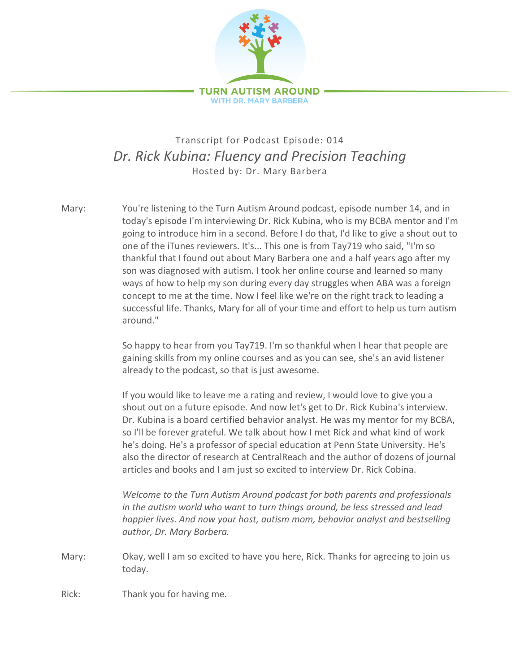

## Transcript for Podcast Episode: 014 *Dr. Rick Kubina: Fluency and Precision Teaching* Hosted by: Dr. Mary Barbera

Mary: You're listening to the Turn Autism Around podcast, episode number 14, and in today's episode I'm interviewing Dr. Rick Kubina, who is my BCBA mentor and I'm going to introduce him in a second. Before I do that, I'd like to give a shout out to one of the iTunes reviewers. It's... This one is from Tay719 who said, "I'm so thankful that I found out about Mary Barbera one and a half years ago after my son was diagnosed with autism. I took her online course and learned so many ways of how to help my son during every day struggles when ABA was a foreign concept to me at the time. Now I feel like we're on the right track to leading a successful life. Thanks, Mary for all of your time and effort to help us turn autism around."

> So happy to hear from you Tay719. I'm so thankful when I hear that people are gaining skills from my online courses and as you can see, she's an avid listener already to the podcast, so that is just awesome.

If you would like to leave me a rating and review, I would love to give you a shout out on a future episode. And now let's get to Dr. Rick Kubina's interview. Dr. Kubina is a board certified behavior analyst. He was my mentor for my BCBA, so I'll be forever grateful. We talk about how I met Rick and what kind of work he's doing. He's a professor of special education at Penn State University. He's also the director of research at CentralReach and the author of dozens of journal articles and books and I am just so excited to interview Dr. Rick Cobina.

*Welcome to the Turn Autism Around podcast for both parents and professionals in the autism world who want to turn things around, be less stressed and lead happier lives. And now your host, autism mom, behavior analyst and bestselling author, Dr. Mary Barbera.*

Mary: Okay, well I am so excited to have you here, Rick. Thanks for agreeing to join us today.

Rick: Thank you for having me.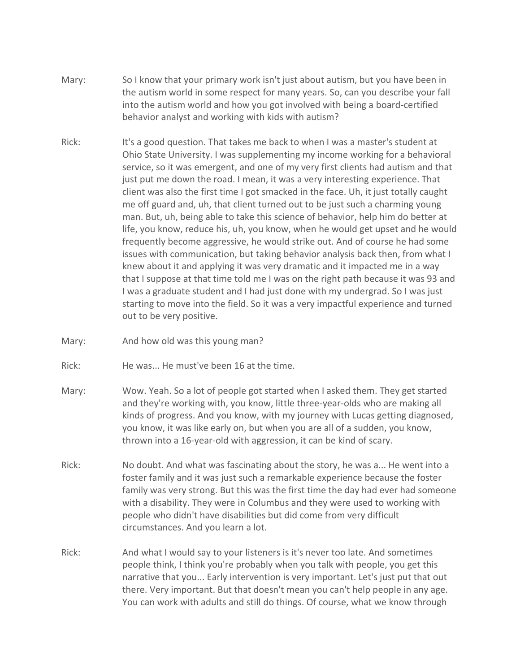- Mary: So I know that your primary work isn't just about autism, but you have been in the autism world in some respect for many years. So, can you describe your fall into the autism world and how you got involved with being a board-certified behavior analyst and working with kids with autism?
- Rick: It's a good question. That takes me back to when I was a master's student at Ohio State University. I was supplementing my income working for a behavioral service, so it was emergent, and one of my very first clients had autism and that just put me down the road. I mean, it was a very interesting experience. That client was also the first time I got smacked in the face. Uh, it just totally caught me off guard and, uh, that client turned out to be just such a charming young man. But, uh, being able to take this science of behavior, help him do better at life, you know, reduce his, uh, you know, when he would get upset and he would frequently become aggressive, he would strike out. And of course he had some issues with communication, but taking behavior analysis back then, from what I knew about it and applying it was very dramatic and it impacted me in a way that I suppose at that time told me I was on the right path because it was 93 and I was a graduate student and I had just done with my undergrad. So I was just starting to move into the field. So it was a very impactful experience and turned out to be very positive.
- Mary: And how old was this young man?
- Rick: He was... He must've been 16 at the time.
- Mary: Wow. Yeah. So a lot of people got started when I asked them. They get started and they're working with, you know, little three-year-olds who are making all kinds of progress. And you know, with my journey with Lucas getting diagnosed, you know, it was like early on, but when you are all of a sudden, you know, thrown into a 16-year-old with aggression, it can be kind of scary.
- Rick: No doubt. And what was fascinating about the story, he was a... He went into a foster family and it was just such a remarkable experience because the foster family was very strong. But this was the first time the day had ever had someone with a disability. They were in Columbus and they were used to working with people who didn't have disabilities but did come from very difficult circumstances. And you learn a lot.
- Rick: And what I would say to your listeners is it's never too late. And sometimes people think, I think you're probably when you talk with people, you get this narrative that you... Early intervention is very important. Let's just put that out there. Very important. But that doesn't mean you can't help people in any age. You can work with adults and still do things. Of course, what we know through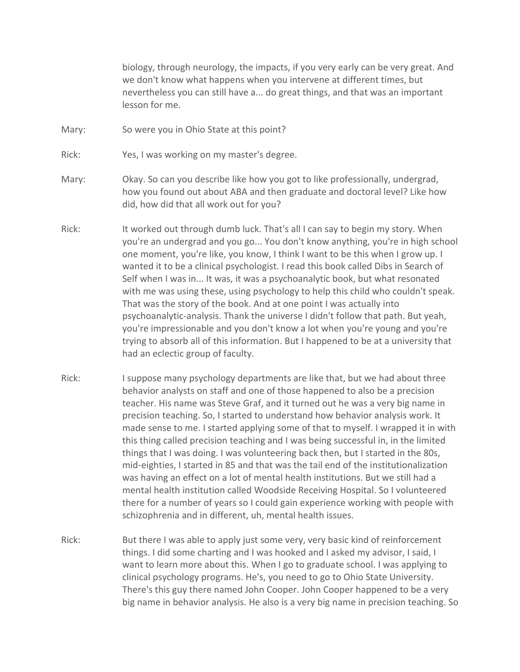biology, through neurology, the impacts, if you very early can be very great. And we don't know what happens when you intervene at different times, but nevertheless you can still have a... do great things, and that was an important lesson for me.

- Mary: So were you in Ohio State at this point?
- Rick: Yes, I was working on my master's degree.
- Mary: Okay. So can you describe like how you got to like professionally, undergrad, how you found out about ABA and then graduate and doctoral level? Like how did, how did that all work out for you?
- Rick: It worked out through dumb luck. That's all I can say to begin my story. When you're an undergrad and you go... You don't know anything, you're in high school one moment, you're like, you know, I think I want to be this when I grow up. I wanted it to be a clinical psychologist. I read this book called Dibs in Search of Self when I was in... It was, it was a psychoanalytic book, but what resonated with me was using these, using psychology to help this child who couldn't speak. That was the story of the book. And at one point I was actually into psychoanalytic-analysis. Thank the universe I didn't follow that path. But yeah, you're impressionable and you don't know a lot when you're young and you're trying to absorb all of this information. But I happened to be at a university that had an eclectic group of faculty.
- Rick: I suppose many psychology departments are like that, but we had about three behavior analysts on staff and one of those happened to also be a precision teacher. His name was Steve Graf, and it turned out he was a very big name in precision teaching. So, I started to understand how behavior analysis work. It made sense to me. I started applying some of that to myself. I wrapped it in with this thing called precision teaching and I was being successful in, in the limited things that I was doing. I was volunteering back then, but I started in the 80s, mid-eighties, I started in 85 and that was the tail end of the institutionalization was having an effect on a lot of mental health institutions. But we still had a mental health institution called Woodside Receiving Hospital. So I volunteered there for a number of years so I could gain experience working with people with schizophrenia and in different, uh, mental health issues.
- Rick: But there I was able to apply just some very, very basic kind of reinforcement things. I did some charting and I was hooked and I asked my advisor, I said, I want to learn more about this. When I go to graduate school. I was applying to clinical psychology programs. He's, you need to go to Ohio State University. There's this guy there named John Cooper. John Cooper happened to be a very big name in behavior analysis. He also is a very big name in precision teaching. So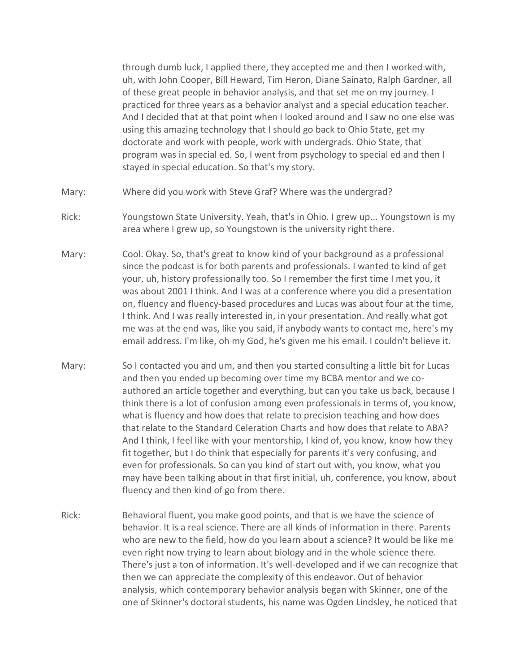through dumb luck, I applied there, they accepted me and then I worked with, uh, with John Cooper, Bill Heward, Tim Heron, Diane Sainato, Ralph Gardner, all of these great people in behavior analysis, and that set me on my journey. I practiced for three years as a behavior analyst and a special education teacher. And I decided that at that point when I looked around and I saw no one else was using this amazing technology that I should go back to Ohio State, get my doctorate and work with people, work with undergrads. Ohio State, that program was in special ed. So, I went from psychology to special ed and then I stayed in special education. So that's my story.

- Mary: Where did you work with Steve Graf? Where was the undergrad?
- Rick: Youngstown State University. Yeah, that's in Ohio. I grew up... Youngstown is my area where I grew up, so Youngstown is the university right there.
- Mary: Cool. Okay. So, that's great to know kind of your background as a professional since the podcast is for both parents and professionals. I wanted to kind of get your, uh, history professionally too. So I remember the first time I met you, it was about 2001 I think. And I was at a conference where you did a presentation on, fluency and fluency-based procedures and Lucas was about four at the time, I think. And I was really interested in, in your presentation. And really what got me was at the end was, like you said, if anybody wants to contact me, here's my email address. I'm like, oh my God, he's given me his email. I couldn't believe it.
- Mary: So I contacted you and um, and then you started consulting a little bit for Lucas and then you ended up becoming over time my BCBA mentor and we coauthored an article together and everything, but can you take us back, because I think there is a lot of confusion among even professionals in terms of, you know, what is fluency and how does that relate to precision teaching and how does that relate to the Standard Celeration Charts and how does that relate to ABA? And I think, I feel like with your mentorship, I kind of, you know, know how they fit together, but I do think that especially for parents it's very confusing, and even for professionals. So can you kind of start out with, you know, what you may have been talking about in that first initial, uh, conference, you know, about fluency and then kind of go from there.
- Rick: Behavioral fluent, you make good points, and that is we have the science of behavior. It is a real science. There are all kinds of information in there. Parents who are new to the field, how do you learn about a science? It would be like me even right now trying to learn about biology and in the whole science there. There's just a ton of information. It's well-developed and if we can recognize that then we can appreciate the complexity of this endeavor. Out of behavior analysis, which contemporary behavior analysis began with Skinner, one of the one of Skinner's doctoral students, his name was Ogden Lindsley, he noticed that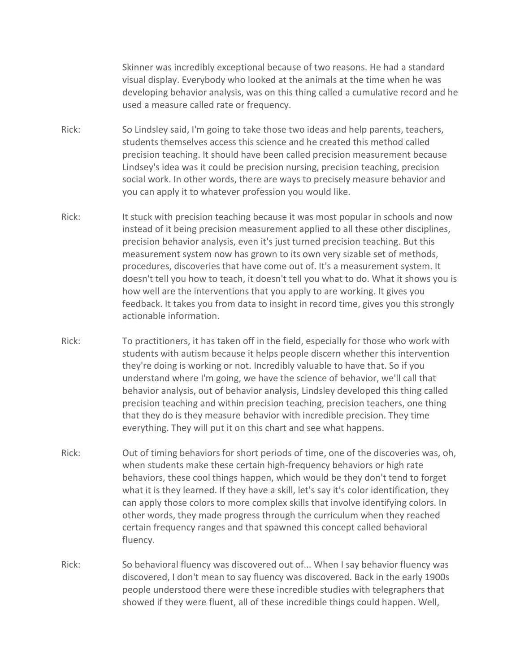Skinner was incredibly exceptional because of two reasons. He had a standard visual display. Everybody who looked at the animals at the time when he was developing behavior analysis, was on this thing called a cumulative record and he used a measure called rate or frequency.

- Rick: So Lindsley said, I'm going to take those two ideas and help parents, teachers, students themselves access this science and he created this method called precision teaching. It should have been called precision measurement because Lindsey's idea was it could be precision nursing, precision teaching, precision social work. In other words, there are ways to precisely measure behavior and you can apply it to whatever profession you would like.
- Rick: It stuck with precision teaching because it was most popular in schools and now instead of it being precision measurement applied to all these other disciplines, precision behavior analysis, even it's just turned precision teaching. But this measurement system now has grown to its own very sizable set of methods, procedures, discoveries that have come out of. It's a measurement system. It doesn't tell you how to teach, it doesn't tell you what to do. What it shows you is how well are the interventions that you apply to are working. It gives you feedback. It takes you from data to insight in record time, gives you this strongly actionable information.
- Rick: To practitioners, it has taken off in the field, especially for those who work with students with autism because it helps people discern whether this intervention they're doing is working or not. Incredibly valuable to have that. So if you understand where I'm going, we have the science of behavior, we'll call that behavior analysis, out of behavior analysis, Lindsley developed this thing called precision teaching and within precision teaching, precision teachers, one thing that they do is they measure behavior with incredible precision. They time everything. They will put it on this chart and see what happens.
- Rick: Out of timing behaviors for short periods of time, one of the discoveries was, oh, when students make these certain high-frequency behaviors or high rate behaviors, these cool things happen, which would be they don't tend to forget what it is they learned. If they have a skill, let's say it's color identification, they can apply those colors to more complex skills that involve identifying colors. In other words, they made progress through the curriculum when they reached certain frequency ranges and that spawned this concept called behavioral fluency.
- Rick: So behavioral fluency was discovered out of... When I say behavior fluency was discovered, I don't mean to say fluency was discovered. Back in the early 1900s people understood there were these incredible studies with telegraphers that showed if they were fluent, all of these incredible things could happen. Well,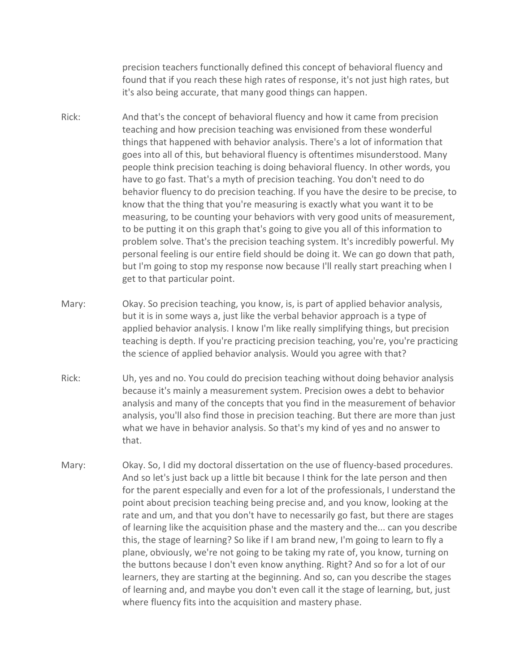precision teachers functionally defined this concept of behavioral fluency and found that if you reach these high rates of response, it's not just high rates, but it's also being accurate, that many good things can happen.

- Rick: And that's the concept of behavioral fluency and how it came from precision teaching and how precision teaching was envisioned from these wonderful things that happened with behavior analysis. There's a lot of information that goes into all of this, but behavioral fluency is oftentimes misunderstood. Many people think precision teaching is doing behavioral fluency. In other words, you have to go fast. That's a myth of precision teaching. You don't need to do behavior fluency to do precision teaching. If you have the desire to be precise, to know that the thing that you're measuring is exactly what you want it to be measuring, to be counting your behaviors with very good units of measurement, to be putting it on this graph that's going to give you all of this information to problem solve. That's the precision teaching system. It's incredibly powerful. My personal feeling is our entire field should be doing it. We can go down that path, but I'm going to stop my response now because I'll really start preaching when I get to that particular point.
- Mary: Okay. So precision teaching, you know, is, is part of applied behavior analysis, but it is in some ways a, just like the verbal behavior approach is a type of applied behavior analysis. I know I'm like really simplifying things, but precision teaching is depth. If you're practicing precision teaching, you're, you're practicing the science of applied behavior analysis. Would you agree with that?
- Rick: Uh, yes and no. You could do precision teaching without doing behavior analysis because it's mainly a measurement system. Precision owes a debt to behavior analysis and many of the concepts that you find in the measurement of behavior analysis, you'll also find those in precision teaching. But there are more than just what we have in behavior analysis. So that's my kind of yes and no answer to that.
- Mary: Okay. So, I did my doctoral dissertation on the use of fluency-based procedures. And so let's just back up a little bit because I think for the late person and then for the parent especially and even for a lot of the professionals, I understand the point about precision teaching being precise and, and you know, looking at the rate and um, and that you don't have to necessarily go fast, but there are stages of learning like the acquisition phase and the mastery and the... can you describe this, the stage of learning? So like if I am brand new, I'm going to learn to fly a plane, obviously, we're not going to be taking my rate of, you know, turning on the buttons because I don't even know anything. Right? And so for a lot of our learners, they are starting at the beginning. And so, can you describe the stages of learning and, and maybe you don't even call it the stage of learning, but, just where fluency fits into the acquisition and mastery phase.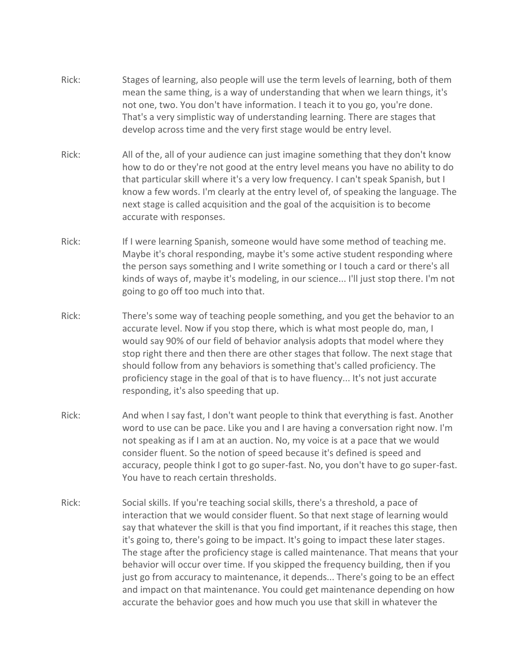- Rick: Stages of learning, also people will use the term levels of learning, both of them mean the same thing, is a way of understanding that when we learn things, it's not one, two. You don't have information. I teach it to you go, you're done. That's a very simplistic way of understanding learning. There are stages that develop across time and the very first stage would be entry level.
- Rick: All of the, all of your audience can just imagine something that they don't know how to do or they're not good at the entry level means you have no ability to do that particular skill where it's a very low frequency. I can't speak Spanish, but I know a few words. I'm clearly at the entry level of, of speaking the language. The next stage is called acquisition and the goal of the acquisition is to become accurate with responses.
- Rick: If I were learning Spanish, someone would have some method of teaching me. Maybe it's choral responding, maybe it's some active student responding where the person says something and I write something or I touch a card or there's all kinds of ways of, maybe it's modeling, in our science... I'll just stop there. I'm not going to go off too much into that.
- Rick: There's some way of teaching people something, and you get the behavior to an accurate level. Now if you stop there, which is what most people do, man, I would say 90% of our field of behavior analysis adopts that model where they stop right there and then there are other stages that follow. The next stage that should follow from any behaviors is something that's called proficiency. The proficiency stage in the goal of that is to have fluency... It's not just accurate responding, it's also speeding that up.
- Rick: And when I say fast, I don't want people to think that everything is fast. Another word to use can be pace. Like you and I are having a conversation right now. I'm not speaking as if I am at an auction. No, my voice is at a pace that we would consider fluent. So the notion of speed because it's defined is speed and accuracy, people think I got to go super-fast. No, you don't have to go super-fast. You have to reach certain thresholds.
- Rick: Social skills. If you're teaching social skills, there's a threshold, a pace of interaction that we would consider fluent. So that next stage of learning would say that whatever the skill is that you find important, if it reaches this stage, then it's going to, there's going to be impact. It's going to impact these later stages. The stage after the proficiency stage is called maintenance. That means that your behavior will occur over time. If you skipped the frequency building, then if you just go from accuracy to maintenance, it depends... There's going to be an effect and impact on that maintenance. You could get maintenance depending on how accurate the behavior goes and how much you use that skill in whatever the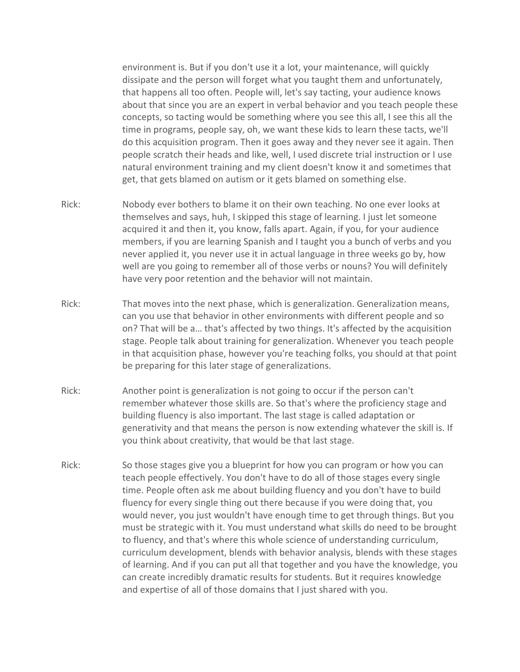environment is. But if you don't use it a lot, your maintenance, will quickly dissipate and the person will forget what you taught them and unfortunately, that happens all too often. People will, let's say tacting, your audience knows about that since you are an expert in verbal behavior and you teach people these concepts, so tacting would be something where you see this all, I see this all the time in programs, people say, oh, we want these kids to learn these tacts, we'll do this acquisition program. Then it goes away and they never see it again. Then people scratch their heads and like, well, I used discrete trial instruction or I use natural environment training and my client doesn't know it and sometimes that get, that gets blamed on autism or it gets blamed on something else.

- Rick: Nobody ever bothers to blame it on their own teaching. No one ever looks at themselves and says, huh, I skipped this stage of learning. I just let someone acquired it and then it, you know, falls apart. Again, if you, for your audience members, if you are learning Spanish and I taught you a bunch of verbs and you never applied it, you never use it in actual language in three weeks go by, how well are you going to remember all of those verbs or nouns? You will definitely have very poor retention and the behavior will not maintain.
- Rick: That moves into the next phase, which is generalization. Generalization means, can you use that behavior in other environments with different people and so on? That will be a… that's affected by two things. It's affected by the acquisition stage. People talk about training for generalization. Whenever you teach people in that acquisition phase, however you're teaching folks, you should at that point be preparing for this later stage of generalizations.
- Rick: Another point is generalization is not going to occur if the person can't remember whatever those skills are. So that's where the proficiency stage and building fluency is also important. The last stage is called adaptation or generativity and that means the person is now extending whatever the skill is. If you think about creativity, that would be that last stage.
- Rick: So those stages give you a blueprint for how you can program or how you can teach people effectively. You don't have to do all of those stages every single time. People often ask me about building fluency and you don't have to build fluency for every single thing out there because if you were doing that, you would never, you just wouldn't have enough time to get through things. But you must be strategic with it. You must understand what skills do need to be brought to fluency, and that's where this whole science of understanding curriculum, curriculum development, blends with behavior analysis, blends with these stages of learning. And if you can put all that together and you have the knowledge, you can create incredibly dramatic results for students. But it requires knowledge and expertise of all of those domains that I just shared with you.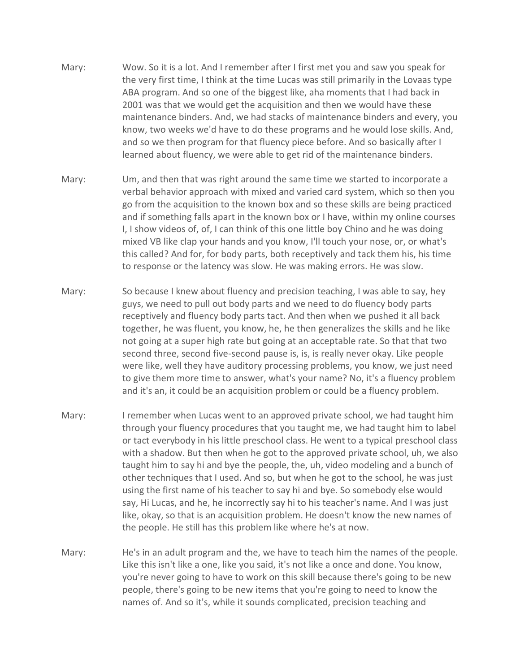- Mary: Wow. So it is a lot. And I remember after I first met you and saw you speak for the very first time, I think at the time Lucas was still primarily in the Lovaas type ABA program. And so one of the biggest like, aha moments that I had back in 2001 was that we would get the acquisition and then we would have these maintenance binders. And, we had stacks of maintenance binders and every, you know, two weeks we'd have to do these programs and he would lose skills. And, and so we then program for that fluency piece before. And so basically after I learned about fluency, we were able to get rid of the maintenance binders.
- Mary: Um, and then that was right around the same time we started to incorporate a verbal behavior approach with mixed and varied card system, which so then you go from the acquisition to the known box and so these skills are being practiced and if something falls apart in the known box or I have, within my online courses I, I show videos of, of, I can think of this one little boy Chino and he was doing mixed VB like clap your hands and you know, I'll touch your nose, or, or what's this called? And for, for body parts, both receptively and tack them his, his time to response or the latency was slow. He was making errors. He was slow.
- Mary: So because I knew about fluency and precision teaching, I was able to say, hey guys, we need to pull out body parts and we need to do fluency body parts receptively and fluency body parts tact. And then when we pushed it all back together, he was fluent, you know, he, he then generalizes the skills and he like not going at a super high rate but going at an acceptable rate. So that that two second three, second five-second pause is, is, is really never okay. Like people were like, well they have auditory processing problems, you know, we just need to give them more time to answer, what's your name? No, it's a fluency problem and it's an, it could be an acquisition problem or could be a fluency problem.
- Mary: I remember when Lucas went to an approved private school, we had taught him through your fluency procedures that you taught me, we had taught him to label or tact everybody in his little preschool class. He went to a typical preschool class with a shadow. But then when he got to the approved private school, uh, we also taught him to say hi and bye the people, the, uh, video modeling and a bunch of other techniques that I used. And so, but when he got to the school, he was just using the first name of his teacher to say hi and bye. So somebody else would say, Hi Lucas, and he, he incorrectly say hi to his teacher's name. And I was just like, okay, so that is an acquisition problem. He doesn't know the new names of the people. He still has this problem like where he's at now.
- Mary: He's in an adult program and the, we have to teach him the names of the people. Like this isn't like a one, like you said, it's not like a once and done. You know, you're never going to have to work on this skill because there's going to be new people, there's going to be new items that you're going to need to know the names of. And so it's, while it sounds complicated, precision teaching and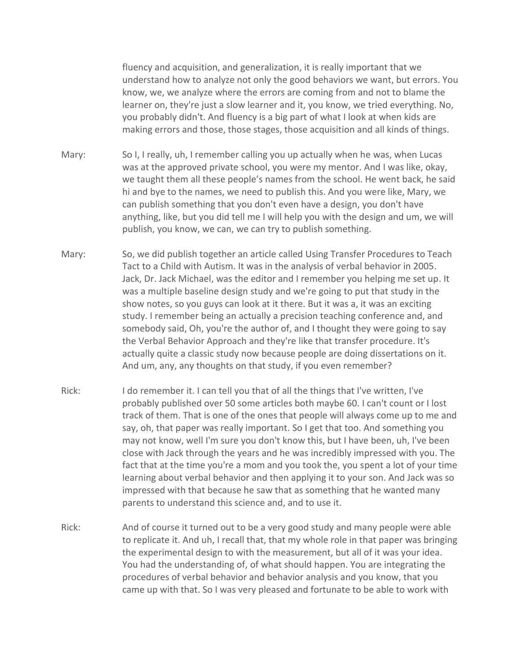fluency and acquisition, and generalization, it is really important that we understand how to analyze not only the good behaviors we want, but errors. You know, we, we analyze where the errors are coming from and not to blame the learner on, they're just a slow learner and it, you know, we tried everything. No, you probably didn't. And fluency is a big part of what I look at when kids are making errors and those, those stages, those acquisition and all kinds of things.

- Mary: So I, I really, uh, I remember calling you up actually when he was, when Lucas was at the approved private school, you were my mentor. And I was like, okay, we taught them all these people's names from the school. He went back, he said hi and bye to the names, we need to publish this. And you were like, Mary, we can publish something that you don't even have a design, you don't have anything, like, but you did tell me I will help you with the design and um, we will publish, you know, we can, we can try to publish something.
- Mary: So, we did publish together an article called Using Transfer Procedures to Teach Tact to a Child with Autism. It was in the analysis of verbal behavior in 2005. Jack, Dr. Jack Michael, was the editor and I remember you helping me set up. It was a multiple baseline design study and we're going to put that study in the show notes, so you guys can look at it there. But it was a, it was an exciting study. I remember being an actually a precision teaching conference and, and somebody said, Oh, you're the author of, and I thought they were going to say the Verbal Behavior Approach and they're like that transfer procedure. It's actually quite a classic study now because people are doing dissertations on it. And um, any, any thoughts on that study, if you even remember?
- Rick: I do remember it. I can tell you that of all the things that I've written, I've probably published over 50 some articles both maybe 60. I can't count or I lost track of them. That is one of the ones that people will always come up to me and say, oh, that paper was really important. So I get that too. And something you may not know, well I'm sure you don't know this, but I have been, uh, I've been close with Jack through the years and he was incredibly impressed with you. The fact that at the time you're a mom and you took the, you spent a lot of your time learning about verbal behavior and then applying it to your son. And Jack was so impressed with that because he saw that as something that he wanted many parents to understand this science and, and to use it.
- Rick: And of course it turned out to be a very good study and many people were able to replicate it. And uh, I recall that, that my whole role in that paper was bringing the experimental design to with the measurement, but all of it was your idea. You had the understanding of, of what should happen. You are integrating the procedures of verbal behavior and behavior analysis and you know, that you came up with that. So I was very pleased and fortunate to be able to work with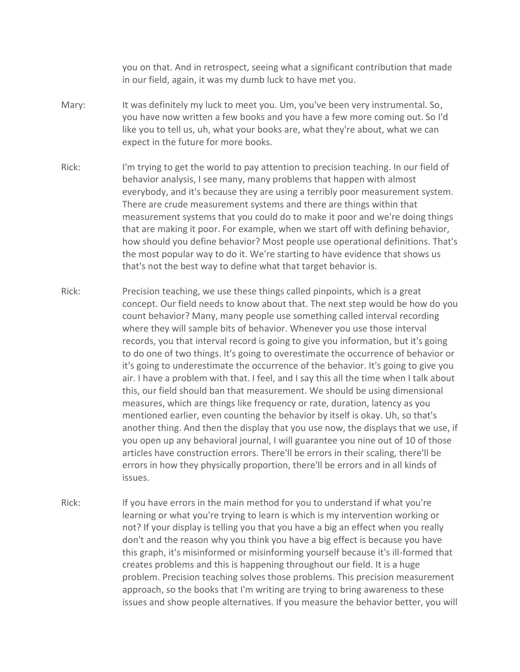you on that. And in retrospect, seeing what a significant contribution that made in our field, again, it was my dumb luck to have met you.

- Mary: It was definitely my luck to meet you. Um, you've been very instrumental. So, you have now written a few books and you have a few more coming out. So I'd like you to tell us, uh, what your books are, what they're about, what we can expect in the future for more books.
- Rick: I'm trying to get the world to pay attention to precision teaching. In our field of behavior analysis, I see many, many problems that happen with almost everybody, and it's because they are using a terribly poor measurement system. There are crude measurement systems and there are things within that measurement systems that you could do to make it poor and we're doing things that are making it poor. For example, when we start off with defining behavior, how should you define behavior? Most people use operational definitions. That's the most popular way to do it. We're starting to have evidence that shows us that's not the best way to define what that target behavior is.
- Rick: Precision teaching, we use these things called pinpoints, which is a great concept. Our field needs to know about that. The next step would be how do you count behavior? Many, many people use something called interval recording where they will sample bits of behavior. Whenever you use those interval records, you that interval record is going to give you information, but it's going to do one of two things. It's going to overestimate the occurrence of behavior or it's going to underestimate the occurrence of the behavior. It's going to give you air. I have a problem with that. I feel, and I say this all the time when I talk about this, our field should ban that measurement. We should be using dimensional measures, which are things like frequency or rate, duration, latency as you mentioned earlier, even counting the behavior by itself is okay. Uh, so that's another thing. And then the display that you use now, the displays that we use, if you open up any behavioral journal, I will guarantee you nine out of 10 of those articles have construction errors. There'll be errors in their scaling, there'll be errors in how they physically proportion, there'll be errors and in all kinds of issues.
- Rick: If you have errors in the main method for you to understand if what you're learning or what you're trying to learn is which is my intervention working or not? If your display is telling you that you have a big an effect when you really don't and the reason why you think you have a big effect is because you have this graph, it's misinformed or misinforming yourself because it's ill-formed that creates problems and this is happening throughout our field. It is a huge problem. Precision teaching solves those problems. This precision measurement approach, so the books that I'm writing are trying to bring awareness to these issues and show people alternatives. If you measure the behavior better, you will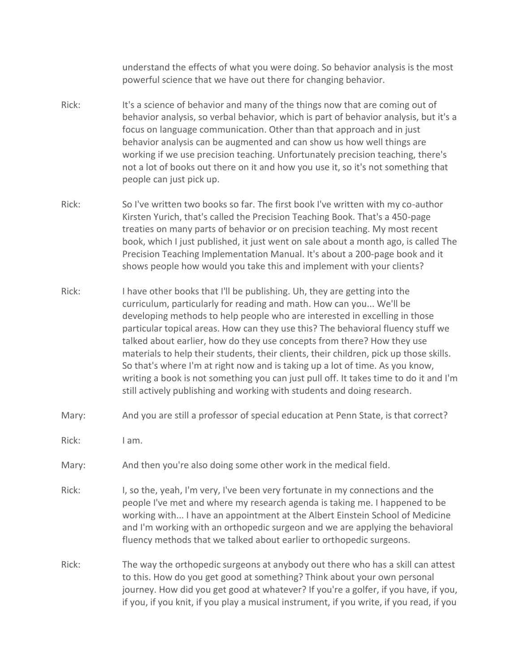understand the effects of what you were doing. So behavior analysis is the most powerful science that we have out there for changing behavior.

- Rick: It's a science of behavior and many of the things now that are coming out of behavior analysis, so verbal behavior, which is part of behavior analysis, but it's a focus on language communication. Other than that approach and in just behavior analysis can be augmented and can show us how well things are working if we use precision teaching. Unfortunately precision teaching, there's not a lot of books out there on it and how you use it, so it's not something that people can just pick up.
- Rick: So I've written two books so far. The first book I've written with my co-author Kirsten Yurich, that's called the Precision Teaching Book. That's a 450-page treaties on many parts of behavior or on precision teaching. My most recent book, which I just published, it just went on sale about a month ago, is called The Precision Teaching Implementation Manual. It's about a 200-page book and it shows people how would you take this and implement with your clients?
- Rick: I have other books that I'll be publishing. Uh, they are getting into the curriculum, particularly for reading and math. How can you... We'll be developing methods to help people who are interested in excelling in those particular topical areas. How can they use this? The behavioral fluency stuff we talked about earlier, how do they use concepts from there? How they use materials to help their students, their clients, their children, pick up those skills. So that's where I'm at right now and is taking up a lot of time. As you know, writing a book is not something you can just pull off. It takes time to do it and I'm still actively publishing and working with students and doing research.
- Mary: And you are still a professor of special education at Penn State, is that correct?
- Rick: I am.
- Mary: And then you're also doing some other work in the medical field.
- Rick: I, so the, yeah, I'm very, I've been very fortunate in my connections and the people I've met and where my research agenda is taking me. I happened to be working with... I have an appointment at the Albert Einstein School of Medicine and I'm working with an orthopedic surgeon and we are applying the behavioral fluency methods that we talked about earlier to orthopedic surgeons.
- Rick: The way the orthopedic surgeons at anybody out there who has a skill can attest to this. How do you get good at something? Think about your own personal journey. How did you get good at whatever? If you're a golfer, if you have, if you, if you, if you knit, if you play a musical instrument, if you write, if you read, if you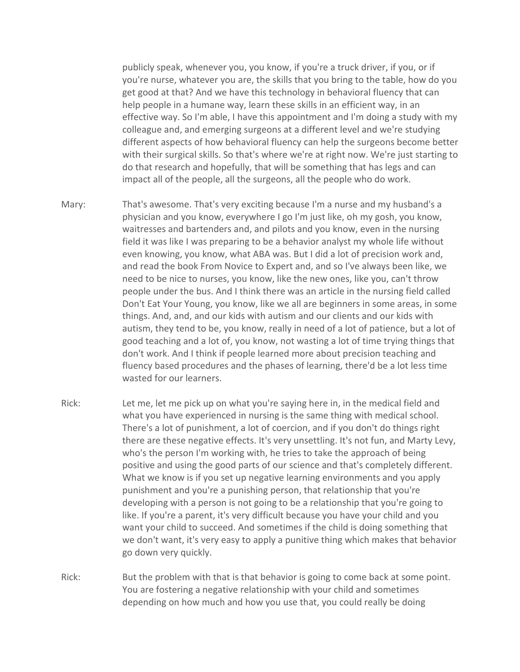publicly speak, whenever you, you know, if you're a truck driver, if you, or if you're nurse, whatever you are, the skills that you bring to the table, how do you get good at that? And we have this technology in behavioral fluency that can help people in a humane way, learn these skills in an efficient way, in an effective way. So I'm able, I have this appointment and I'm doing a study with my colleague and, and emerging surgeons at a different level and we're studying different aspects of how behavioral fluency can help the surgeons become better with their surgical skills. So that's where we're at right now. We're just starting to do that research and hopefully, that will be something that has legs and can impact all of the people, all the surgeons, all the people who do work.

- Mary: That's awesome. That's very exciting because I'm a nurse and my husband's a physician and you know, everywhere I go I'm just like, oh my gosh, you know, waitresses and bartenders and, and pilots and you know, even in the nursing field it was like I was preparing to be a behavior analyst my whole life without even knowing, you know, what ABA was. But I did a lot of precision work and, and read the book From Novice to Expert and, and so I've always been like, we need to be nice to nurses, you know, like the new ones, like you, can't throw people under the bus. And I think there was an article in the nursing field called Don't Eat Your Young, you know, like we all are beginners in some areas, in some things. And, and, and our kids with autism and our clients and our kids with autism, they tend to be, you know, really in need of a lot of patience, but a lot of good teaching and a lot of, you know, not wasting a lot of time trying things that don't work. And I think if people learned more about precision teaching and fluency based procedures and the phases of learning, there'd be a lot less time wasted for our learners.
- Rick: Let me, let me pick up on what you're saying here in, in the medical field and what you have experienced in nursing is the same thing with medical school. There's a lot of punishment, a lot of coercion, and if you don't do things right there are these negative effects. It's very unsettling. It's not fun, and Marty Levy, who's the person I'm working with, he tries to take the approach of being positive and using the good parts of our science and that's completely different. What we know is if you set up negative learning environments and you apply punishment and you're a punishing person, that relationship that you're developing with a person is not going to be a relationship that you're going to like. If you're a parent, it's very difficult because you have your child and you want your child to succeed. And sometimes if the child is doing something that we don't want, it's very easy to apply a punitive thing which makes that behavior go down very quickly.
- Rick: But the problem with that is that behavior is going to come back at some point. You are fostering a negative relationship with your child and sometimes depending on how much and how you use that, you could really be doing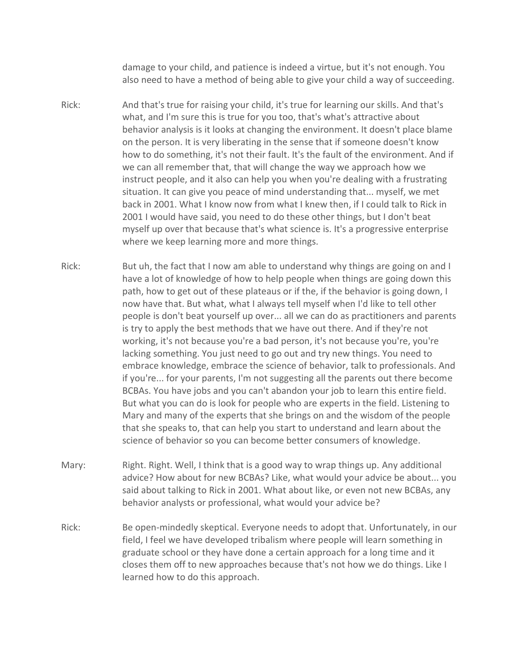damage to your child, and patience is indeed a virtue, but it's not enough. You also need to have a method of being able to give your child a way of succeeding.

- Rick: And that's true for raising your child, it's true for learning our skills. And that's what, and I'm sure this is true for you too, that's what's attractive about behavior analysis is it looks at changing the environment. It doesn't place blame on the person. It is very liberating in the sense that if someone doesn't know how to do something, it's not their fault. It's the fault of the environment. And if we can all remember that, that will change the way we approach how we instruct people, and it also can help you when you're dealing with a frustrating situation. It can give you peace of mind understanding that... myself, we met back in 2001. What I know now from what I knew then, if I could talk to Rick in 2001 I would have said, you need to do these other things, but I don't beat myself up over that because that's what science is. It's a progressive enterprise where we keep learning more and more things.
- Rick: But uh, the fact that I now am able to understand why things are going on and I have a lot of knowledge of how to help people when things are going down this path, how to get out of these plateaus or if the, if the behavior is going down, I now have that. But what, what I always tell myself when I'd like to tell other people is don't beat yourself up over... all we can do as practitioners and parents is try to apply the best methods that we have out there. And if they're not working, it's not because you're a bad person, it's not because you're, you're lacking something. You just need to go out and try new things. You need to embrace knowledge, embrace the science of behavior, talk to professionals. And if you're... for your parents, I'm not suggesting all the parents out there become BCBAs. You have jobs and you can't abandon your job to learn this entire field. But what you can do is look for people who are experts in the field. Listening to Mary and many of the experts that she brings on and the wisdom of the people that she speaks to, that can help you start to understand and learn about the science of behavior so you can become better consumers of knowledge.
- Mary: Right. Right. Well, I think that is a good way to wrap things up. Any additional advice? How about for new BCBAs? Like, what would your advice be about... you said about talking to Rick in 2001. What about like, or even not new BCBAs, any behavior analysts or professional, what would your advice be?
- Rick: Be open-mindedly skeptical. Everyone needs to adopt that. Unfortunately, in our field, I feel we have developed tribalism where people will learn something in graduate school or they have done a certain approach for a long time and it closes them off to new approaches because that's not how we do things. Like I learned how to do this approach.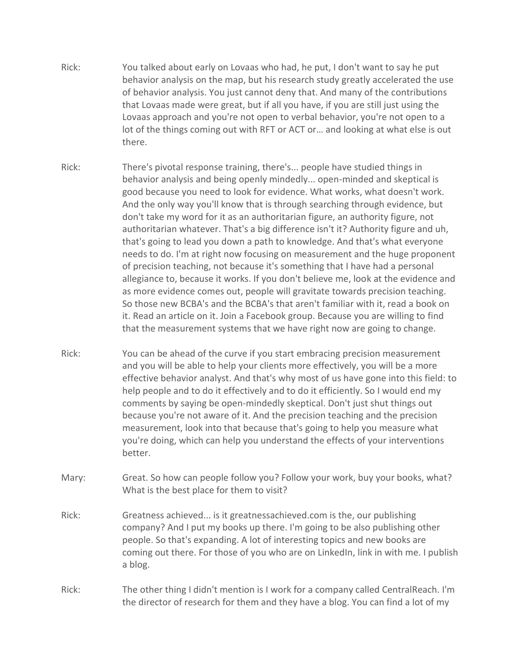- Rick: You talked about early on Lovaas who had, he put, I don't want to say he put behavior analysis on the map, but his research study greatly accelerated the use of behavior analysis. You just cannot deny that. And many of the contributions that Lovaas made were great, but if all you have, if you are still just using the Lovaas approach and you're not open to verbal behavior, you're not open to a lot of the things coming out with RFT or ACT or… and looking at what else is out there.
- Rick: There's pivotal response training, there's... people have studied things in behavior analysis and being openly mindedly... open-minded and skeptical is good because you need to look for evidence. What works, what doesn't work. And the only way you'll know that is through searching through evidence, but don't take my word for it as an authoritarian figure, an authority figure, not authoritarian whatever. That's a big difference isn't it? Authority figure and uh, that's going to lead you down a path to knowledge. And that's what everyone needs to do. I'm at right now focusing on measurement and the huge proponent of precision teaching, not because it's something that I have had a personal allegiance to, because it works. If you don't believe me, look at the evidence and as more evidence comes out, people will gravitate towards precision teaching. So those new BCBA's and the BCBA's that aren't familiar with it, read a book on it. Read an article on it. Join a Facebook group. Because you are willing to find that the measurement systems that we have right now are going to change.
- Rick: You can be ahead of the curve if you start embracing precision measurement and you will be able to help your clients more effectively, you will be a more effective behavior analyst. And that's why most of us have gone into this field: to help people and to do it effectively and to do it efficiently. So I would end my comments by saying be open-mindedly skeptical. Don't just shut things out because you're not aware of it. And the precision teaching and the precision measurement, look into that because that's going to help you measure what you're doing, which can help you understand the effects of your interventions better.
- Mary: Great. So how can people follow you? Follow your work, buy your books, what? What is the best place for them to visit?
- Rick: Greatness achieved... is it greatnessachieved.com is the, our publishing company? And I put my books up there. I'm going to be also publishing other people. So that's expanding. A lot of interesting topics and new books are coming out there. For those of you who are on LinkedIn, link in with me. I publish a blog.
- Rick: The other thing I didn't mention is I work for a company called CentralReach. I'm the director of research for them and they have a blog. You can find a lot of my